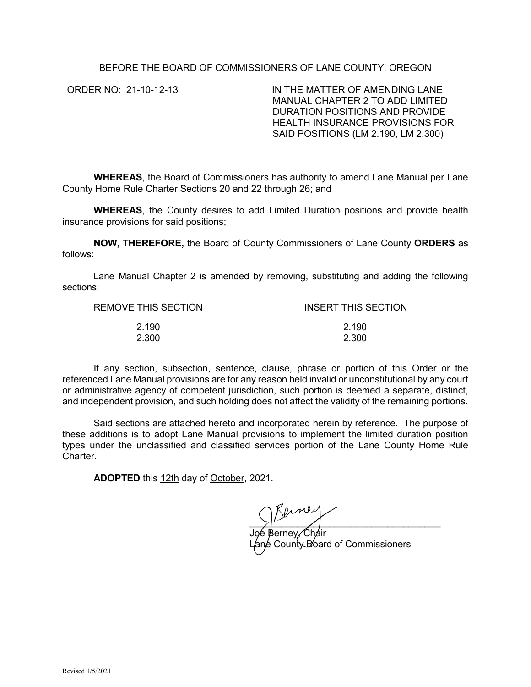# BEFORE THE BOARD OF COMMISSIONERS OF LANE COUNTY, OREGON

ORDER NO: 21-10-12-13 IN THE MATTER OF AMENDING LANE MANUAL CHAPTER 2 TO ADD LIMITED DURATION POSITIONS AND PROVIDE HEALTH INSURANCE PROVISIONS FOR SAID POSITIONS (LM 2.190, LM 2.300)

**WHEREAS**, the Board of Commissioners has authority to amend Lane Manual per Lane County Home Rule Charter Sections 20 and 22 through 26; and

**WHEREAS**, the County desires to add Limited Duration positions and provide health insurance provisions for said positions;

**NOW, THEREFORE,** the Board of County Commissioners of Lane County **ORDERS** as follows:

Lane Manual Chapter 2 is amended by removing, substituting and adding the following sections:

| INSERT THIS SECTION |
|---------------------|
|                     |
| 2.190               |
| 2.300               |
|                     |

If any section, subsection, sentence, clause, phrase or portion of this Order or the referenced Lane Manual provisions are for any reason held invalid or unconstitutional by any court or administrative agency of competent jurisdiction, such portion is deemed a separate, distinct, and independent provision, and such holding does not affect the validity of the remaining portions.

Said sections are attached hereto and incorporated herein by reference. The purpose of these additions is to adopt Lane Manual provisions to implement the limited duration position types under the unclassified and classified services portion of the Lane County Home Rule Charter.

**ADOPTED** this 12th day of October, 2021.

 $\sum_{i=1}^{n}$ 

Joe Berney, Chair Lange County Board of Commissioners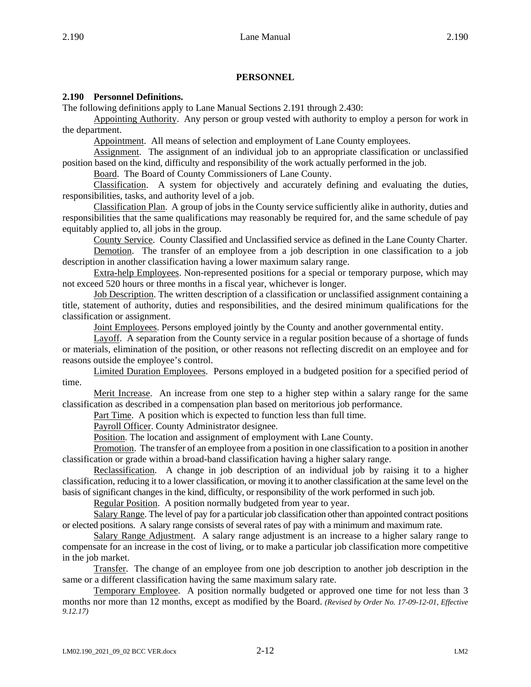# **PERSONNEL**

## **2.190 Personnel Definitions.**

The following definitions apply to Lane Manual Sections 2.191 through 2.430:

Appointing Authority. Any person or group vested with authority to employ a person for work in the department.

Appointment. All means of selection and employment of Lane County employees.

Assignment. The assignment of an individual job to an appropriate classification or unclassified position based on the kind, difficulty and responsibility of the work actually performed in the job.

Board. The Board of County Commissioners of Lane County.

Classification. A system for objectively and accurately defining and evaluating the duties, responsibilities, tasks, and authority level of a job.

Classification Plan. A group of jobs in the County service sufficiently alike in authority, duties and responsibilities that the same qualifications may reasonably be required for, and the same schedule of pay equitably applied to, all jobs in the group.

County Service. County Classified and Unclassified service as defined in the Lane County Charter.

Demotion. The transfer of an employee from a job description in one classification to a job description in another classification having a lower maximum salary range.

Extra-help Employees. Non-represented positions for a special or temporary purpose, which may not exceed 520 hours or three months in a fiscal year, whichever is longer.

Job Description. The written description of a classification or unclassified assignment containing a title, statement of authority, duties and responsibilities, and the desired minimum qualifications for the classification or assignment.

Joint Employees. Persons employed jointly by the County and another governmental entity.

Layoff. A separation from the County service in a regular position because of a shortage of funds or materials, elimination of the position, or other reasons not reflecting discredit on an employee and for reasons outside the employee's control.

Limited Duration Employees. Persons employed in a budgeted position for a specified period of time.

Merit Increase. An increase from one step to a higher step within a salary range for the same classification as described in a compensation plan based on meritorious job performance.

Part Time. A position which is expected to function less than full time.

Payroll Officer. County Administrator designee.

Position. The location and assignment of employment with Lane County.

Promotion. The transfer of an employee from a position in one classification to a position in another classification or grade within a broad-band classification having a higher salary range.

Reclassification. A change in job description of an individual job by raising it to a higher classification, reducing it to a lower classification, or moving it to another classification at the same level on the basis of significant changes in the kind, difficulty, or responsibility of the work performed in such job.

Regular Position. A position normally budgeted from year to year.

Salary Range. The level of pay for a particular job classification other than appointed contract positions or elected positions. A salary range consists of several rates of pay with a minimum and maximum rate.

Salary Range Adjustment. A salary range adjustment is an increase to a higher salary range to compensate for an increase in the cost of living, or to make a particular job classification more competitive in the job market.

Transfer. The change of an employee from one job description to another job description in the same or a different classification having the same maximum salary rate.

Temporary Employee. A position normally budgeted or approved one time for not less than 3 months nor more than 12 months, except as modified by the Board. *(Revised by Order No. 17-09-12-01, Effective 9.12.17)*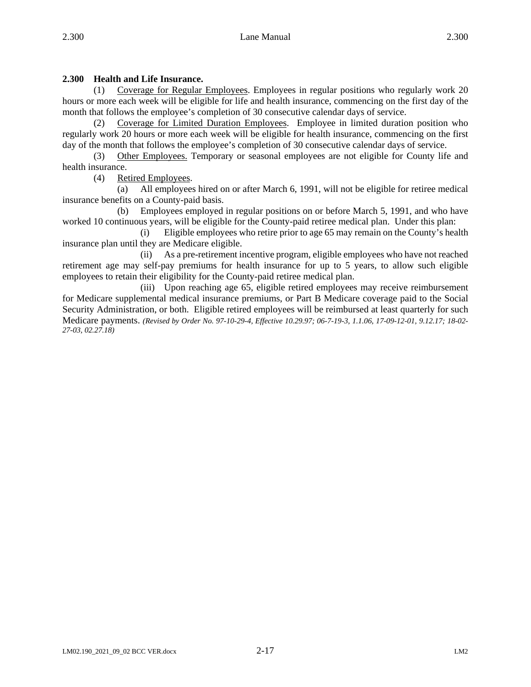# **2.300 Health and Life Insurance.**

(1) Coverage for Regular Employees. Employees in regular positions who regularly work 20 hours or more each week will be eligible for life and health insurance, commencing on the first day of the month that follows the employee's completion of 30 consecutive calendar days of service.

(2) Coverage for Limited Duration Employees. Employee in limited duration position who regularly work 20 hours or more each week will be eligible for health insurance, commencing on the first day of the month that follows the employee's completion of 30 consecutive calendar days of service.

(3) Other Employees. Temporary or seasonal employees are not eligible for County life and health insurance.

(4) Retired Employees.

(a) All employees hired on or after March 6, 1991, will not be eligible for retiree medical insurance benefits on a County-paid basis.

(b) Employees employed in regular positions on or before March 5, 1991, and who have worked 10 continuous years, will be eligible for the County-paid retiree medical plan. Under this plan:

(i) Eligible employees who retire prior to age 65 may remain on the County's health insurance plan until they are Medicare eligible.

(ii) As a pre-retirement incentive program, eligible employees who have not reached retirement age may self-pay premiums for health insurance for up to 5 years, to allow such eligible employees to retain their eligibility for the County-paid retiree medical plan.

(iii) Upon reaching age 65, eligible retired employees may receive reimbursement for Medicare supplemental medical insurance premiums, or Part B Medicare coverage paid to the Social Security Administration, or both. Eligible retired employees will be reimbursed at least quarterly for such Medicare payments. *(Revised by Order No. 97-10-29-4, Effective 10.29.97; 06-7-19-3, 1.1.06, 17-09-12-01, 9.12.17; 18-02- 27-03, 02.27.18)*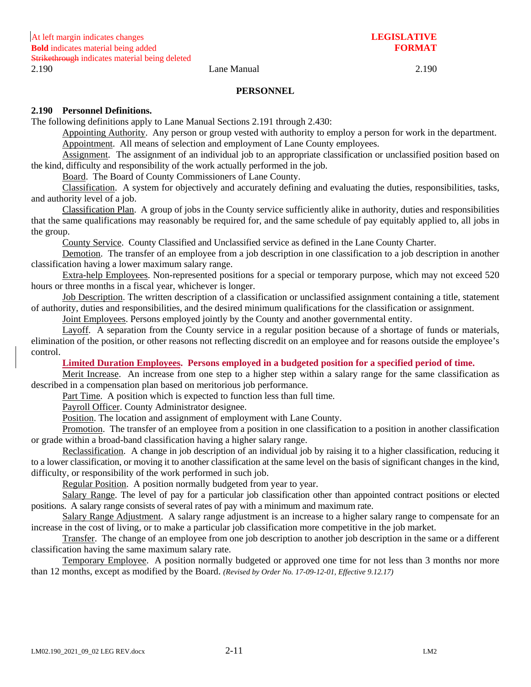#### **PERSONNEL**

### **2.190 Personnel Definitions.**

The following definitions apply to Lane Manual Sections 2.191 through 2.430:

Appointing Authority. Any person or group vested with authority to employ a person for work in the department. Appointment. All means of selection and employment of Lane County employees.

Assignment. The assignment of an individual job to an appropriate classification or unclassified position based on the kind, difficulty and responsibility of the work actually performed in the job.

Board. The Board of County Commissioners of Lane County.

Classification. A system for objectively and accurately defining and evaluating the duties, responsibilities, tasks, and authority level of a job.

Classification Plan. A group of jobs in the County service sufficiently alike in authority, duties and responsibilities that the same qualifications may reasonably be required for, and the same schedule of pay equitably applied to, all jobs in the group.

County Service. County Classified and Unclassified service as defined in the Lane County Charter.

Demotion. The transfer of an employee from a job description in one classification to a job description in another classification having a lower maximum salary range.

Extra-help Employees. Non-represented positions for a special or temporary purpose, which may not exceed 520 hours or three months in a fiscal year, whichever is longer.

Job Description. The written description of a classification or unclassified assignment containing a title, statement of authority, duties and responsibilities, and the desired minimum qualifications for the classification or assignment.

Joint Employees. Persons employed jointly by the County and another governmental entity.

Layoff. A separation from the County service in a regular position because of a shortage of funds or materials, elimination of the position, or other reasons not reflecting discredit on an employee and for reasons outside the employee's control.

### **Limited Duration Employees. Persons employed in a budgeted position for a specified period of time.**

Merit Increase. An increase from one step to a higher step within a salary range for the same classification as described in a compensation plan based on meritorious job performance.

Part Time. A position which is expected to function less than full time.

Payroll Officer. County Administrator designee.

Position. The location and assignment of employment with Lane County.

Promotion. The transfer of an employee from a position in one classification to a position in another classification or grade within a broad-band classification having a higher salary range.

Reclassification. A change in job description of an individual job by raising it to a higher classification, reducing it to a lower classification, or moving it to another classification at the same level on the basis of significant changes in the kind, difficulty, or responsibility of the work performed in such job.

Regular Position. A position normally budgeted from year to year.

Salary Range. The level of pay for a particular job classification other than appointed contract positions or elected positions. A salary range consists of several rates of pay with a minimum and maximum rate.

Salary Range Adjustment. A salary range adjustment is an increase to a higher salary range to compensate for an increase in the cost of living, or to make a particular job classification more competitive in the job market.

Transfer. The change of an employee from one job description to another job description in the same or a different classification having the same maximum salary rate.

Temporary Employee. A position normally budgeted or approved one time for not less than 3 months nor more than 12 months, except as modified by the Board. *(Revised by Order No. 17-09-12-01, Effective 9.12.17)*